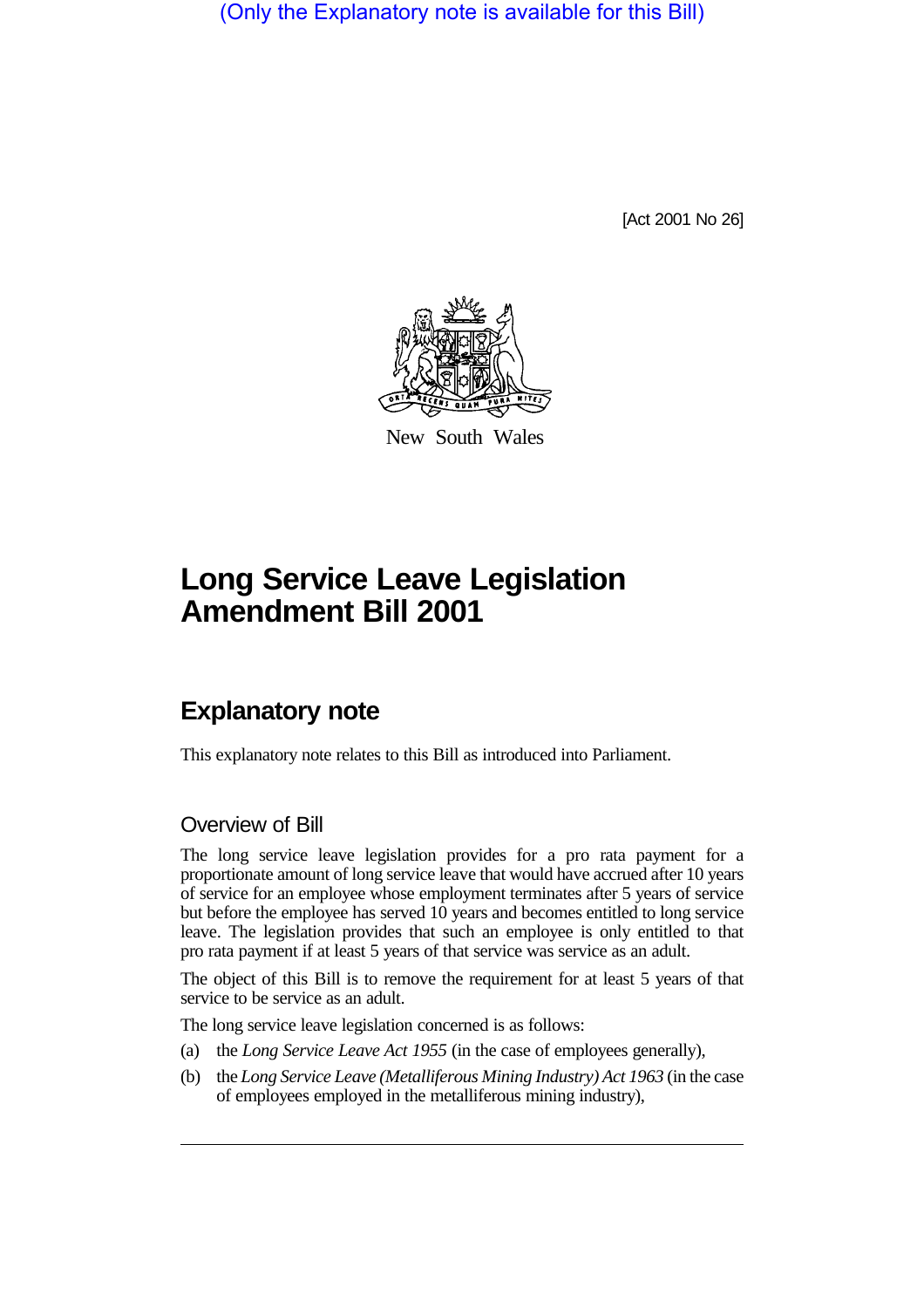(Only the Explanatory note is available for this Bill)

[Act 2001 No 26]



New South Wales

## **Long Service Leave Legislation Amendment Bill 2001**

## **Explanatory note**

This explanatory note relates to this Bill as introduced into Parliament.

## Overview of Bill

The long service leave legislation provides for a pro rata payment for a proportionate amount of long service leave that would have accrued after 10 years of service for an employee whose employment terminates after 5 years of service but before the employee has served 10 years and becomes entitled to long service leave. The legislation provides that such an employee is only entitled to that pro rata payment if at least 5 years of that service was service as an adult.

The object of this Bill is to remove the requirement for at least 5 years of that service to be service as an adult.

The long service leave legislation concerned is as follows:

- (a) the *Long Service Leave Act 1955* (in the case of employees generally),
- (b) the *Long Service Leave (Metalliferous Mining Industry) Act 1963* (in the case of employees employed in the metalliferous mining industry),